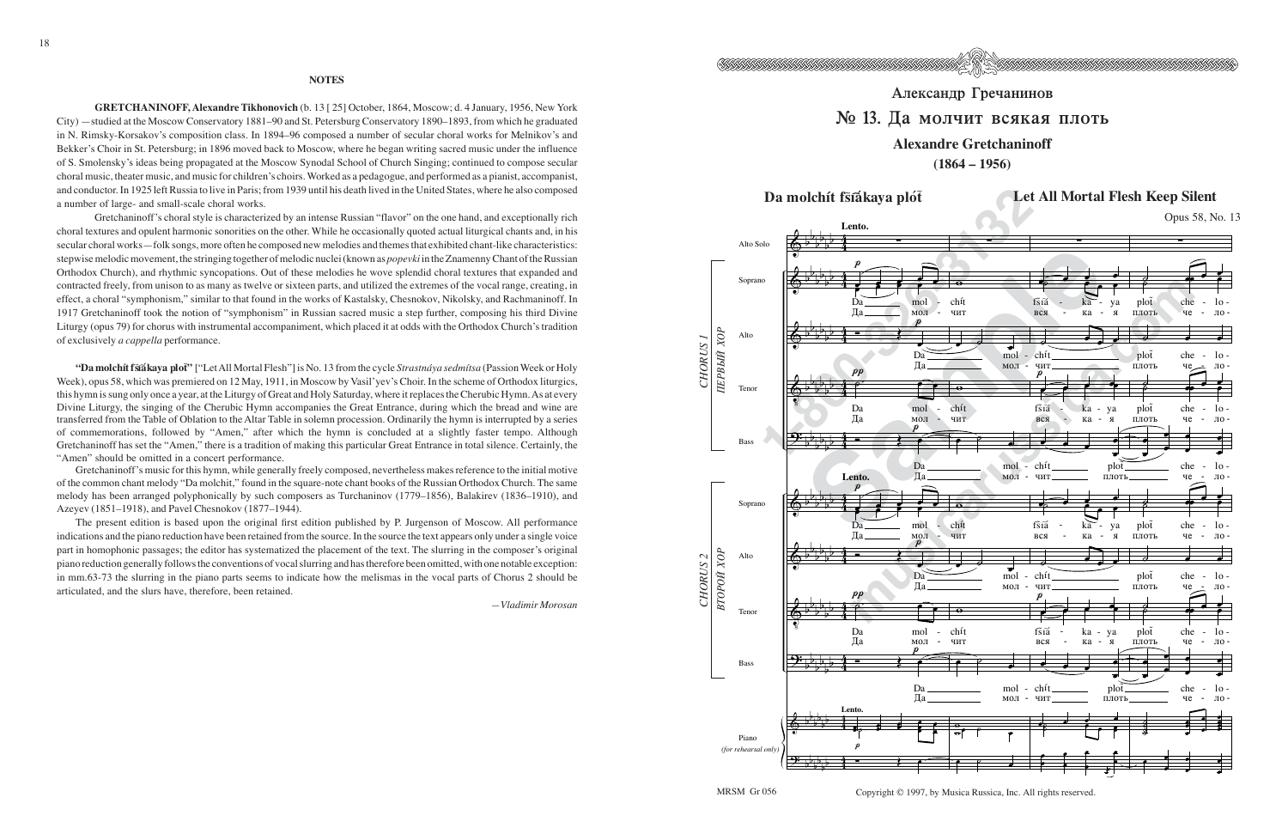

## Александр Гречанинов № 13. Да молчит всякая плоть

## **Alexandre Gretchaninoff**

**(1864 – 1956)**

## Da molchít fšīákaya plót⊤ bet All Mortal Flesh Keep Silent



Copyright © 1997, by Musica Russica, Inc. All rights reserved.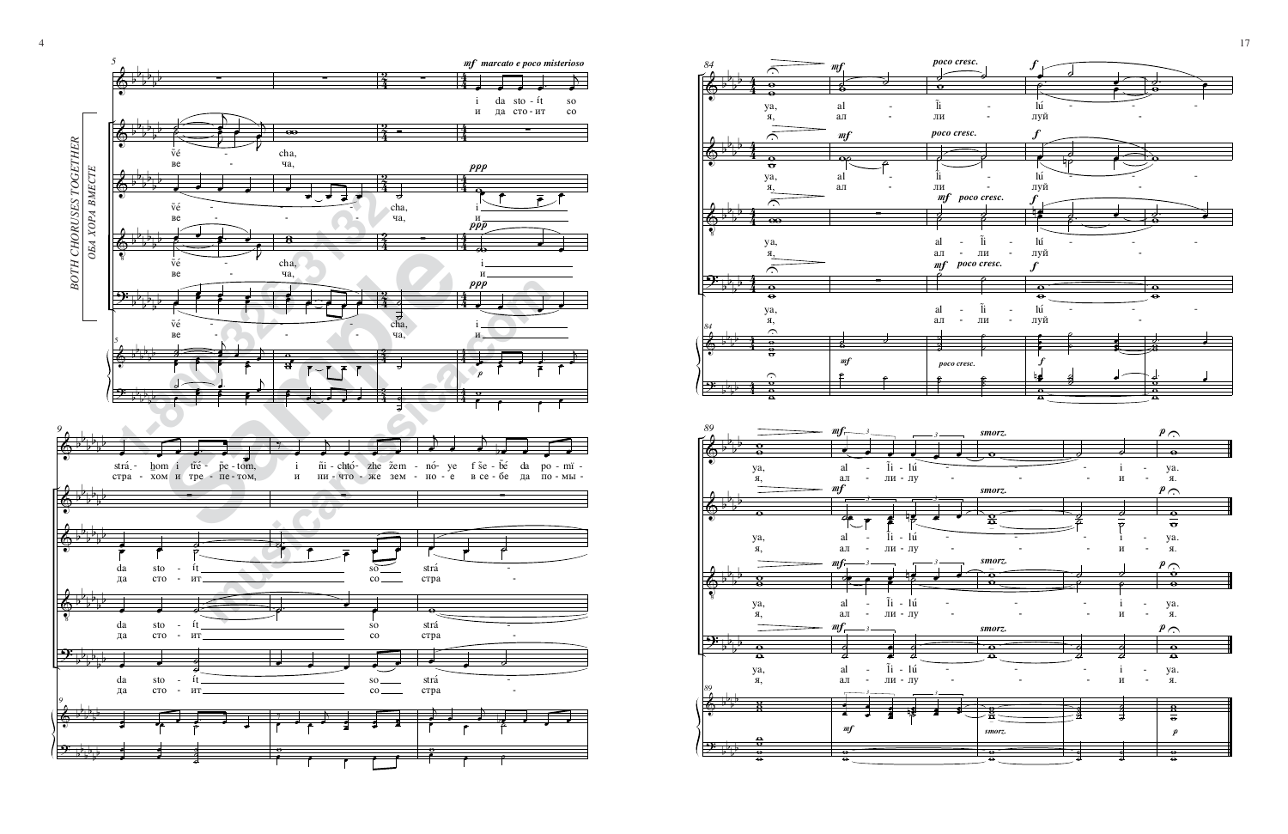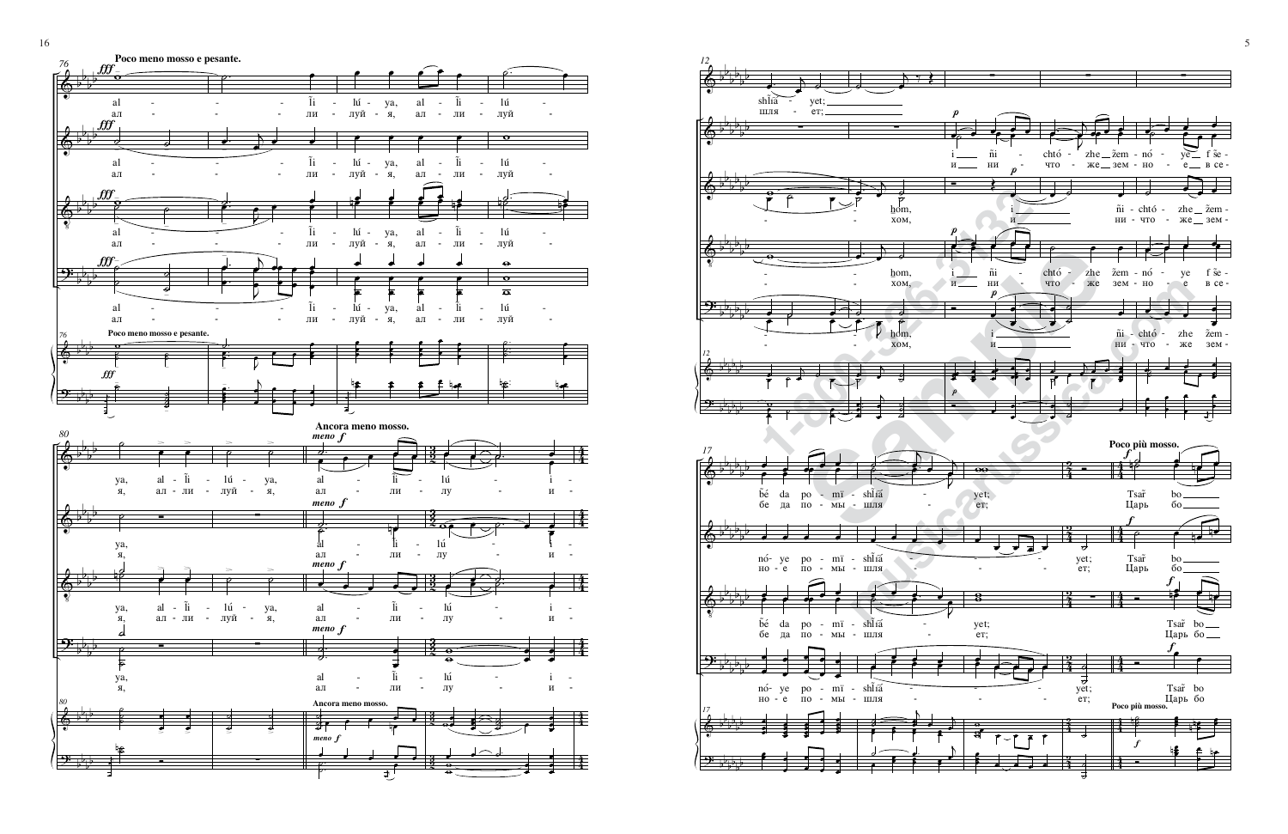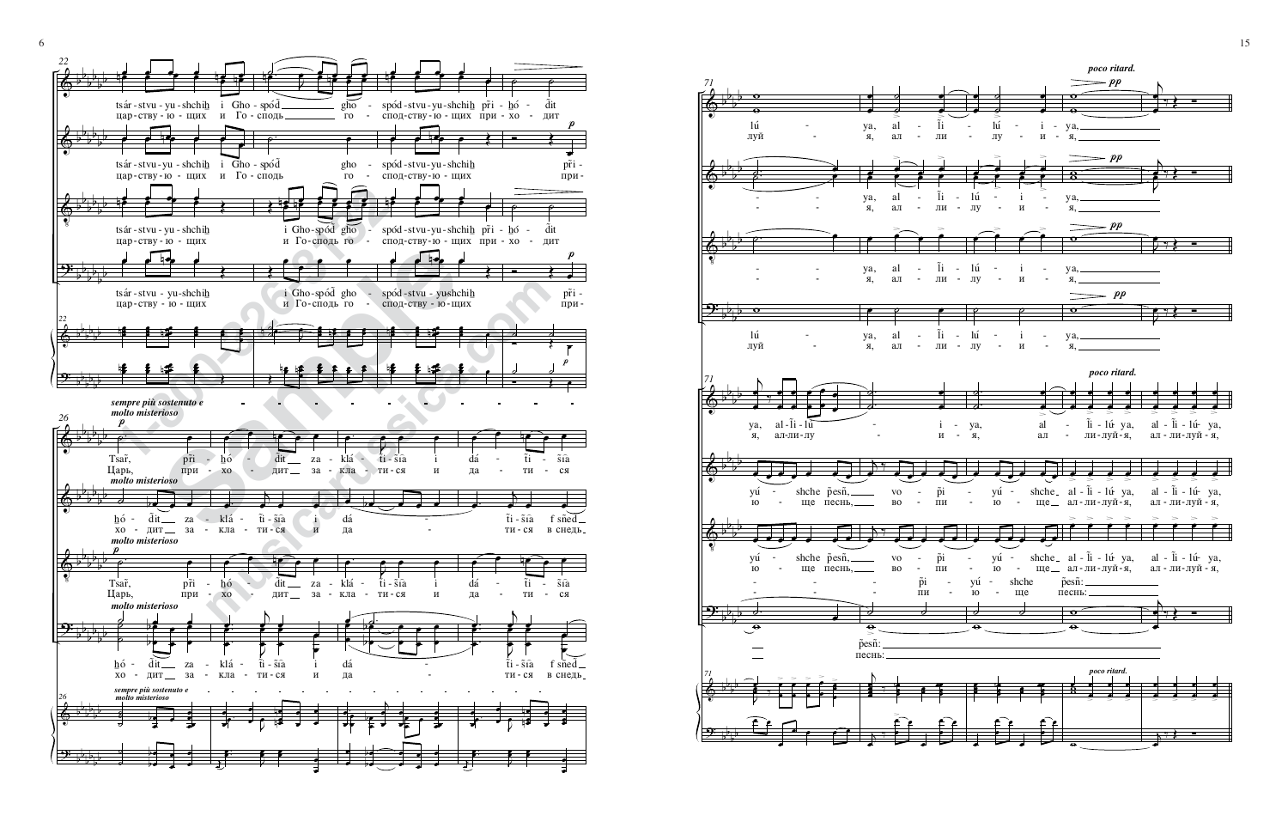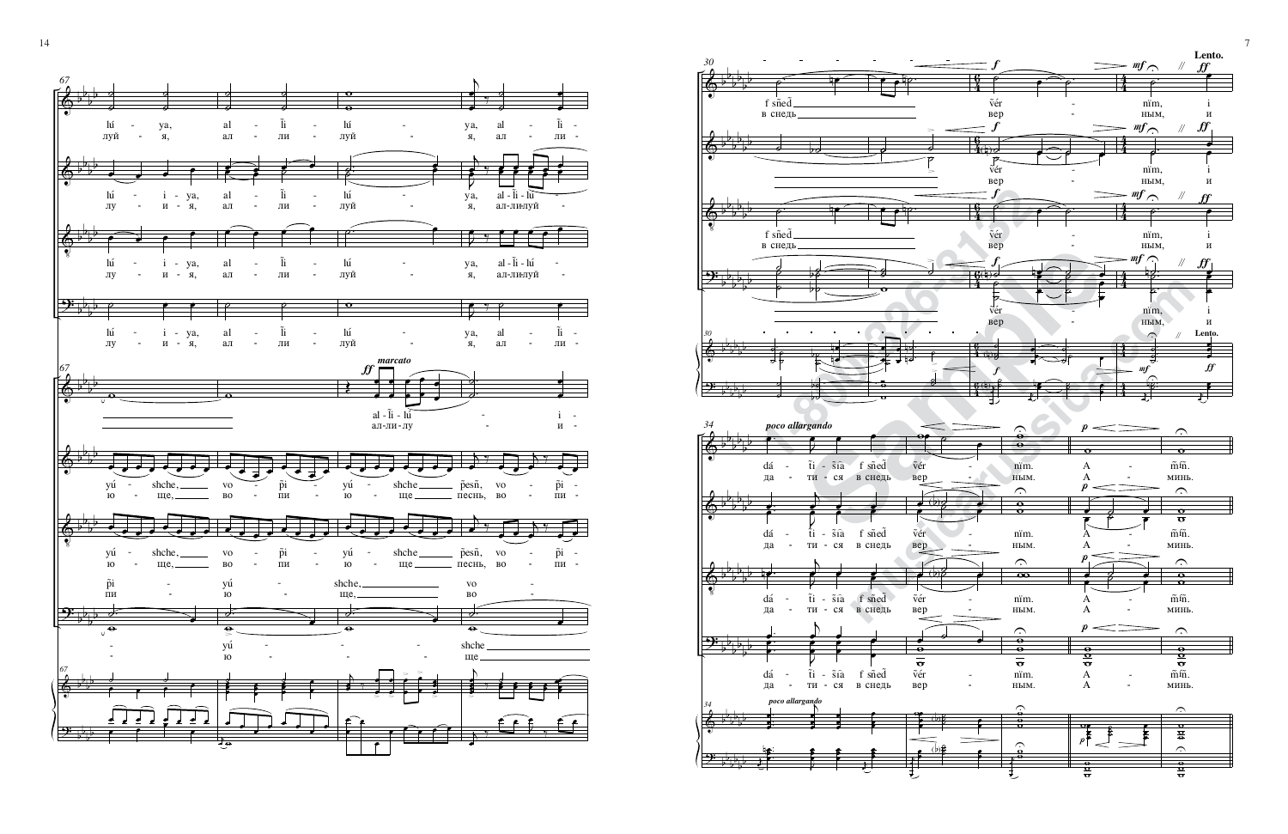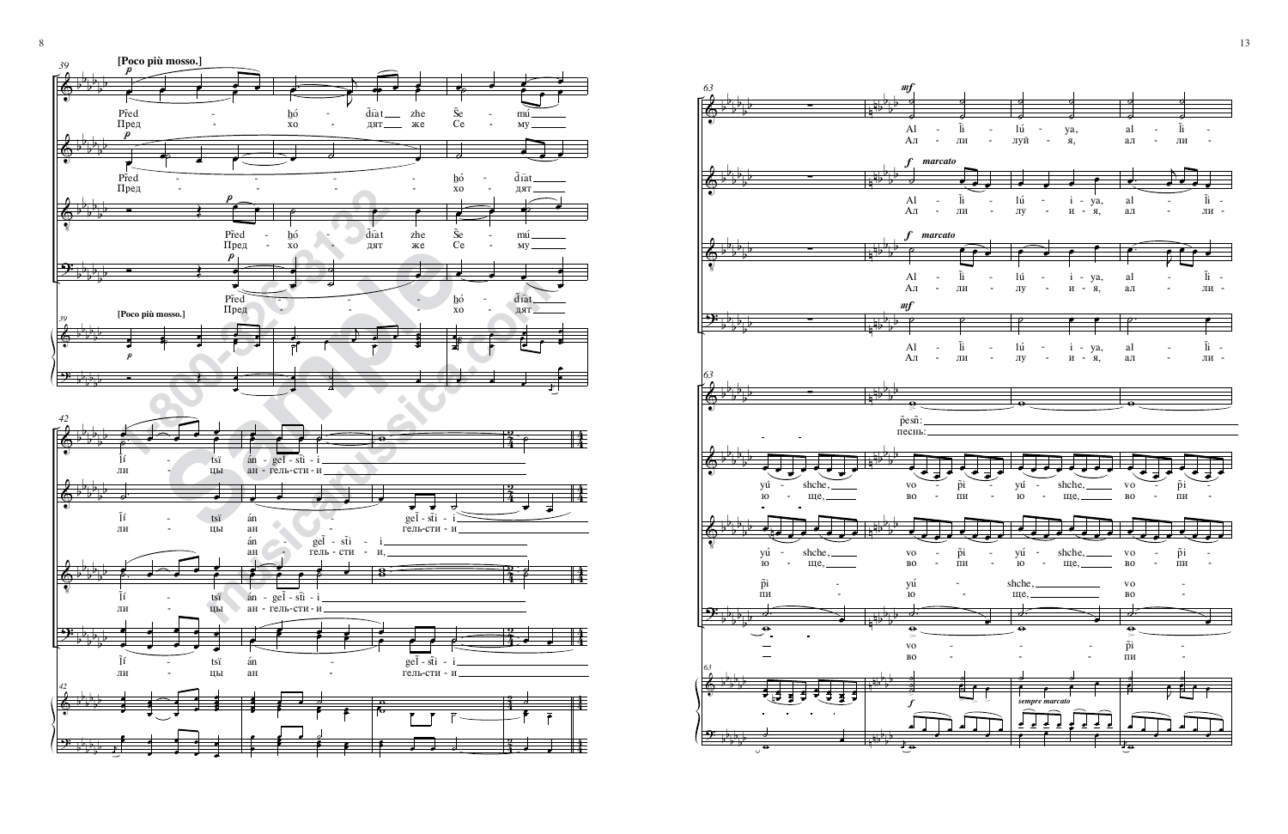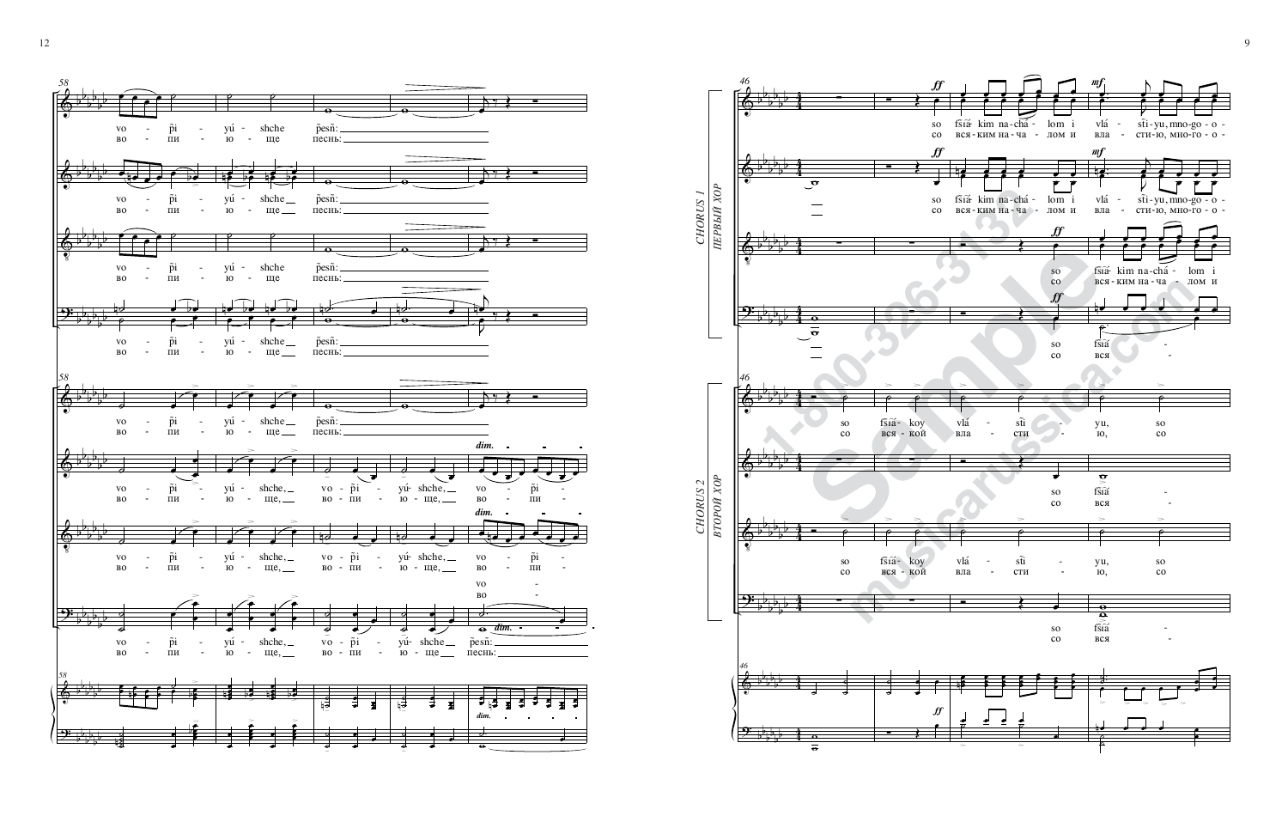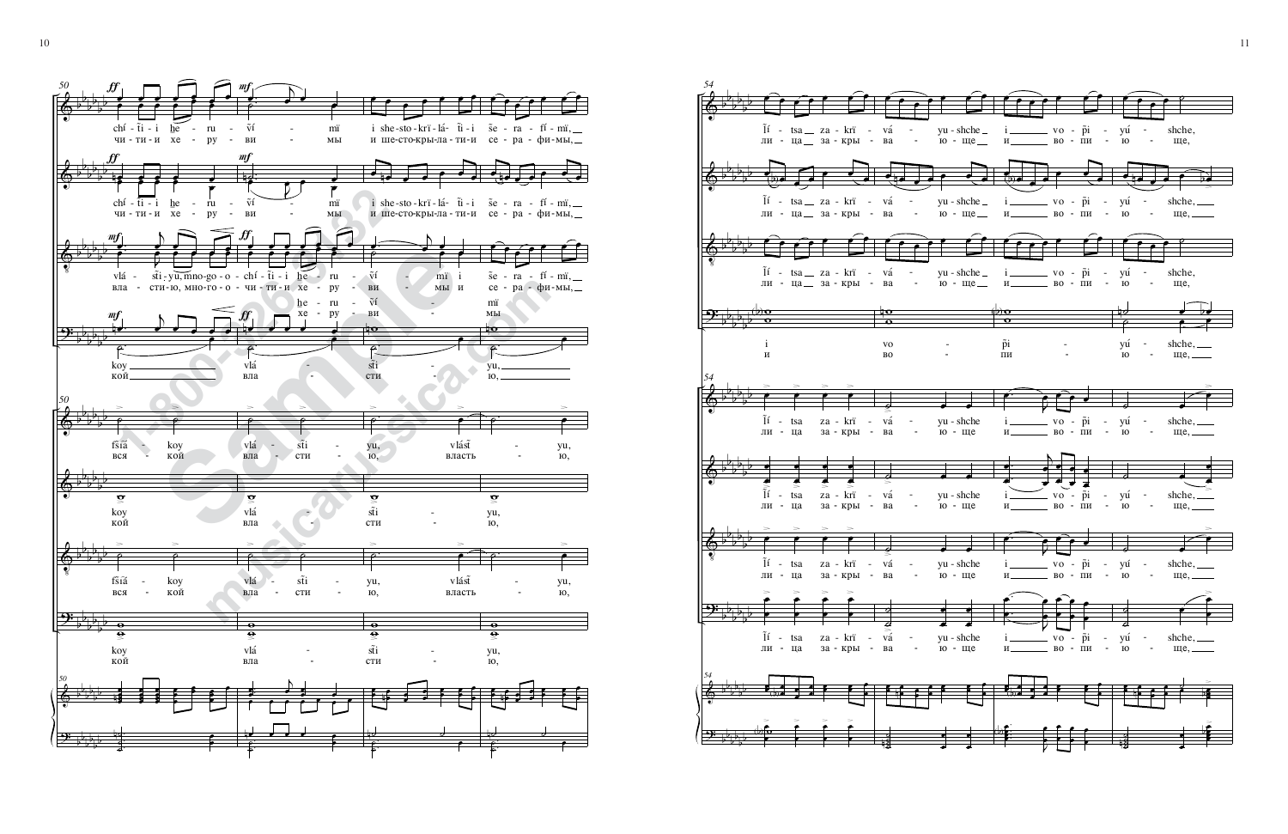**1**<br> **1**  $\frac{1}{2}$  **1**  $\frac{1}{2}$  **1**  $\frac{1}{2}$  **1**  $\frac{1}{2}$  **1**  $\frac{1}{2}$  **1**  $\frac{1}{2}$  **1 1 1 1 1 1**<br> **1 1 1 1 1 1 1 1 1**<br> **1 1 1 1 1**<br> **1 1 1 1 1**<br> **1 1 1 1**<br> **1 1 1 Sample 19 and 19 and 19 and 19 and 19 and 19 and 19 and 19 and 19 and 19 and 19 and 19 and 19 and 19 and 19 and 19 and 19 and 19 and 19 and 19 and 19 and 19 and 19 and 19 and 19 and 19 and 19 and 19 and 19 and 19 and 19 musical community of the Community of the Community of the Community of the Community of the Community of the Community of the Community of the Community of the Community of the Community of the Community of the Communit**  $\hat{\mathbb{P}}$  $\hat{\mathbb{P}}$  $\hat{\mathbb{Q}}$ <u>ን፡</u>  $\hat{\mathbb{P}}$  $\hat{\mathbb{P}}$  $\hat{\mathbb{P}}$ <u>ን፡</u>  $\hat{\mathbb{S}}$  $\rightarrow$ b b b b b b b b b b b b b b b b b b b b b b b b b b b b b b b b b b b b b b b b b b b b b b b b b b b b b b b b b b b b *50* $\frac{\mathbf{f} \mathbf{f}}{2}$ œ œ œ œ œ œ œ œ œ œ œ œ  $chf - \tilde{t}i - i$ чи-ти-и хе - ру  $he$  ru ƒ  $\frac{1}{2}$ œ œ œ œ œ œ œ  $chf - \tilde{t}i - i$ чи-ти-и хе - $he$ </u> ru py mf  $\left( \begin{array}{ccc} \cdot & \cdot & \cdot \\ \cdot & \cdot & \cdot \\ \cdot & \cdot & \cdot \end{array} \right)$ œ J œ œ œ œ œ œ œ vlá вла st̃i сти-∏', ю, mnoмноgo -<br>го -— - —  $m f$  $\mathcal{C}$  $\frac{y}{x}$  . œ œ œ œ кой koy *50* ˙ >˙ >fšíá  $BCA$ koy кой  $\tilde{\mathbf{o}}$ кой koy ˙ >˙ >fšíá  $BCA$ koy кой  $\overline{\mathbf{e}}$  $\mathbf{\underline{e}}$ кой kογ *50*œ œ œ  $\mathbf{e}$ œ œ  $\vdots$ œ œ 。<br>。<br>。 œ  $\colon$ . . œ  $\colon$   $\colon$ ˙ ˙ ˙ n <sup>œ</sup> œ  $m f$  $\begin{pmatrix} 1 & 1 \\ 0 & 1 \end{pmatrix}$ œ œ œ  $\tilde{\rm v} {\rm i}$ §∂ mï MЫ  $m f$ <u>ig: J</u> œ œ œ œ  $\tilde{v}$ í ВИ mï MЫ ∬ œ œ œ œ œ œ œ œ œ œ œ œ chí чи -T∂ - ≀{i - i<br>ти - и  ${\rm he}$  - xe ru py ƒ ˙.  $\overline{\phantom{a}}$ œ œ œ œ  $<sub>B</sub>$ ла</sub> vlá  $he$ </u> xe - py ru -˙ >˙ >vlá  $<sub>B</sub>πa$ </sub> st̃i € сти  $\tilde{\mathbf{o}}$  $B<sub>II</sub>a$ vlá ˙ >˙ >vlá  $<sub>вл</sub>$ а</sub> st̃i сти  $\overline{\bullet}$  $\mathbf{\underline{e}}$  $<sub>B</sub>πa$ </sub> vlá . <sup>œ</sup> œ . . .  $\mathsf b$  $\overline{\ }$ œ . . .  $\overline{\cdot}$ <u>م</u> ˙ n <del>e e e e e</del> œ œ œ œ œ œ œ œ i she-sto-krï-lá- t̃i-i i she-sto-krï-lа́- t̃i-i s̃e - ra - fí - mï,<br>ише-сто-кры-ла-ти-и се - ра - фи-мы,  $\bullet$  10 œ <sup>œ</sup> <sup>œ</sup> <sup>œ</sup> œ ∂ Ï™- fi‡— - ∫¤Ú - º†´- T∂ - ‡∂- ∂ S™ - ¤† - ‰¥ - ¬Ú, и ше-сто-кры-ла - ти-и се - ра - фи-мы, œ. ˙  $\blacktriangleright$ œ œ œ œ  $\tilde{v}$ í §∂ -¬Ú mï i<br>мы и  $\mathcal{E}$ †io œ сти st̃i  $\tilde{v}_1$ ВИ ˙. >œ >∏', ˙, vlást власть  $\tilde{\mathbf{o}}$ сти st̃i ˙. >œ >∏',  $\overline{10}$ , vlásť власть  $\overline{\mathbf{o}}$  $\tilde{\mathbf{e}}$ сти st̃i œ • ⊕  $\overline{\bullet}$  $: \cdot$  $\colon$  :  $\cdot$   $\cdot$  $\blacksquare$ œ . ˙ ˙ n˙ ˙ œ œ œ œ œ œ œ œ še - ra - fí - mï, ≞ œ **. . . .** œ œ œ œ <sup>œ</sup> <sup>œ</sup> <sup>œ</sup> œ  $\mathrm{\tilde{se}}$  -<br>ce ra -<br>pa - $\mathrm{f}\mathrm{i}$  -‰∂ mï, мы, ˙.  $\overline{\mathbf{p}}$ œ <u></u>ю, ∏', mï MЫ  $\circ$   $\hspace{0.1cm} \bullet$ >∏', ˙,  $\tilde{\mathbf{o}}$ ю, ∏',  $\circ$   $\hspace{0.1cm} \bullet$ >∏',  $\overline{10}$ ,  $\overline{\mathbf{e}}$  $\tilde{\mathbf{e}}$ ˙, ∏', œ  $\cdot$  e i• ∶ **:**  $\cdot$  $\cdot$   $\cdot$  $\cdot$   $\cdot$ œ <u>م</u> ˙ n˙ ˙ œ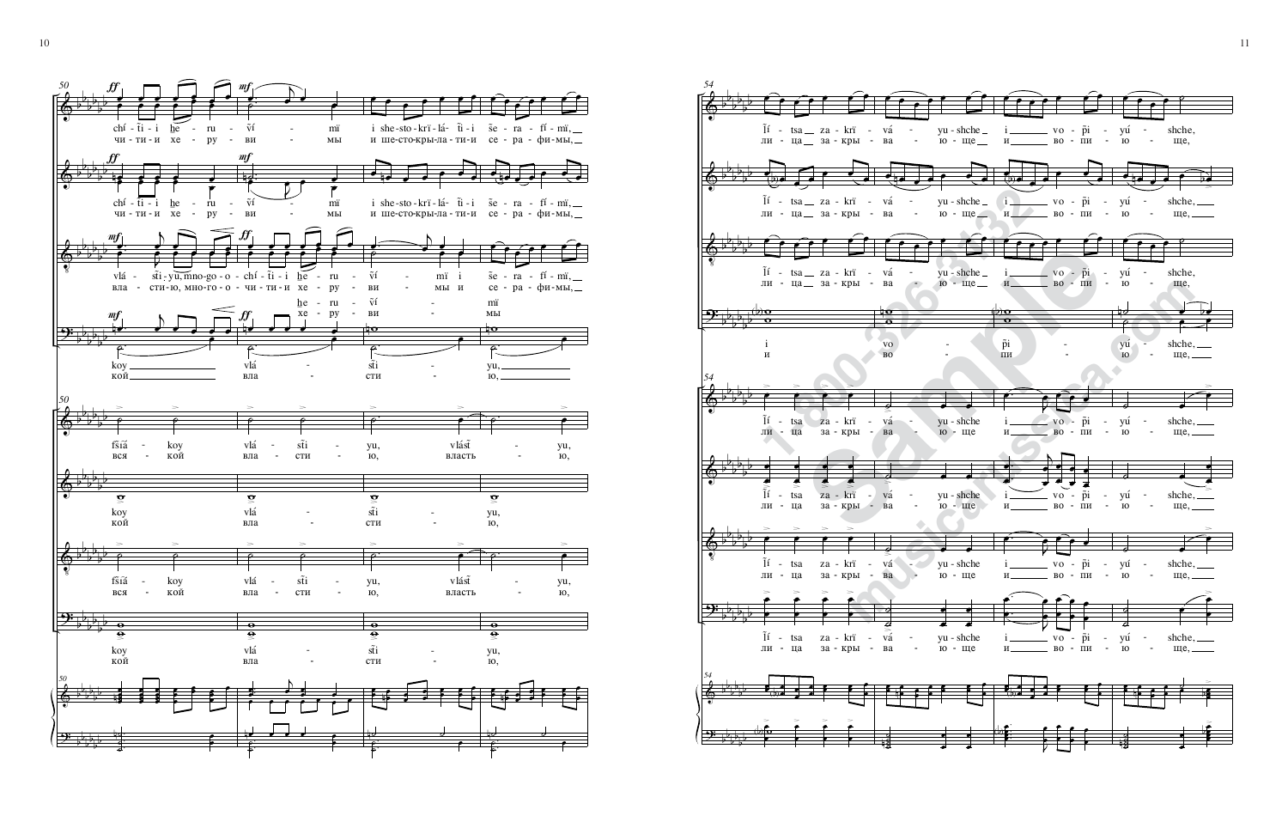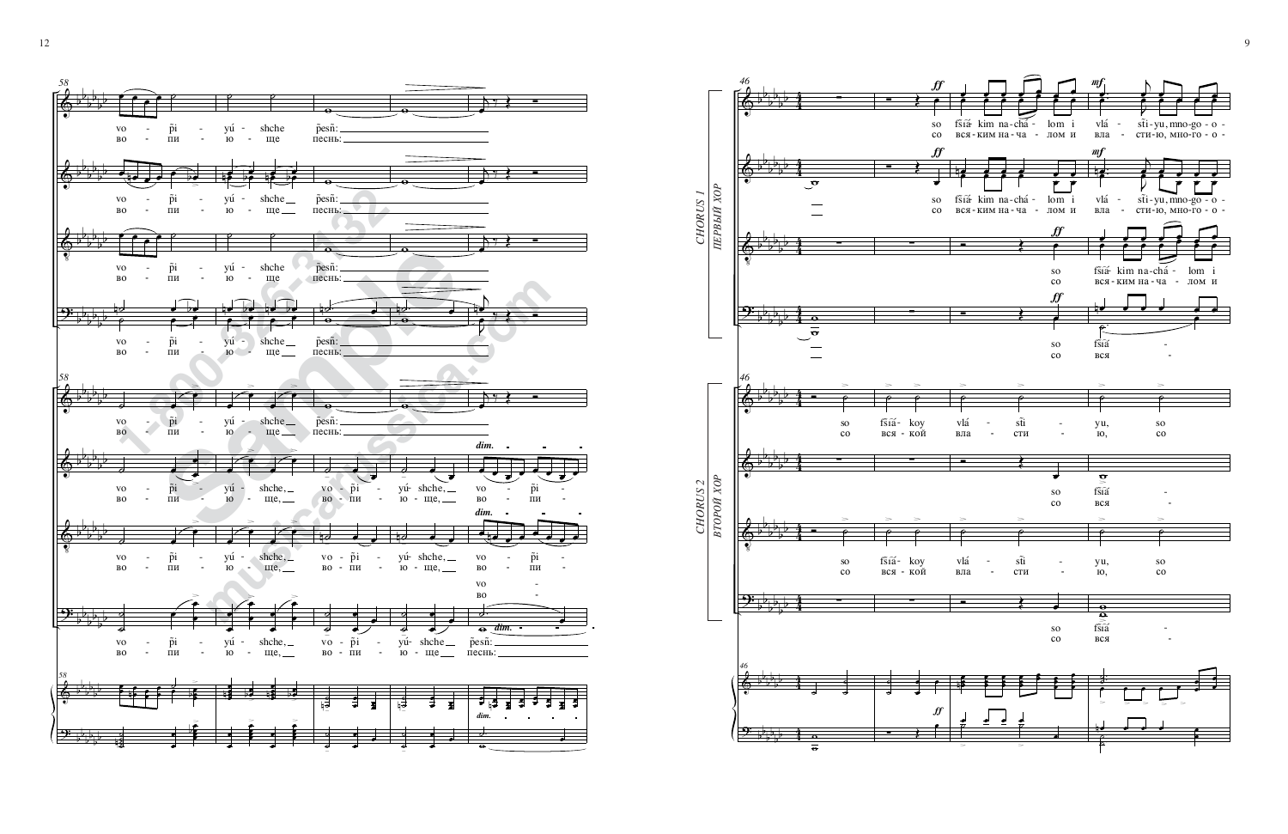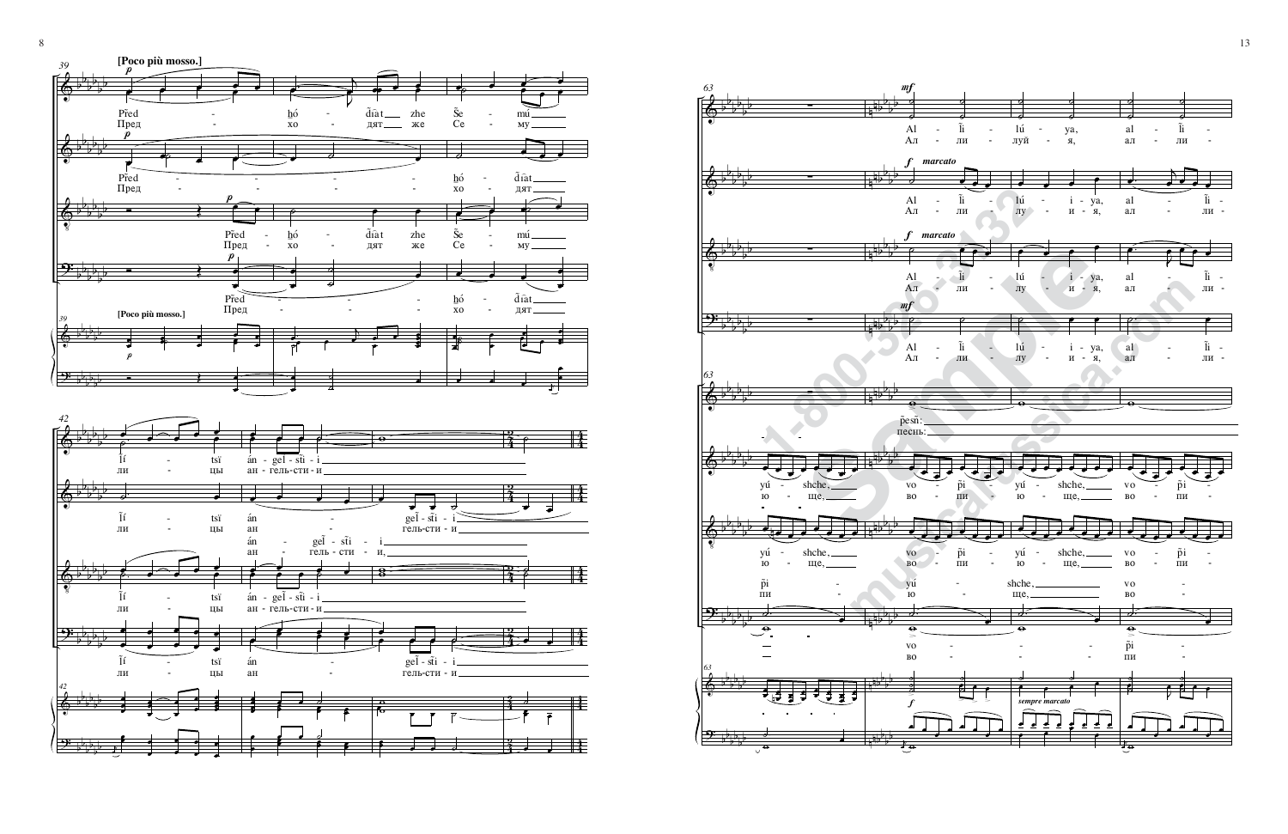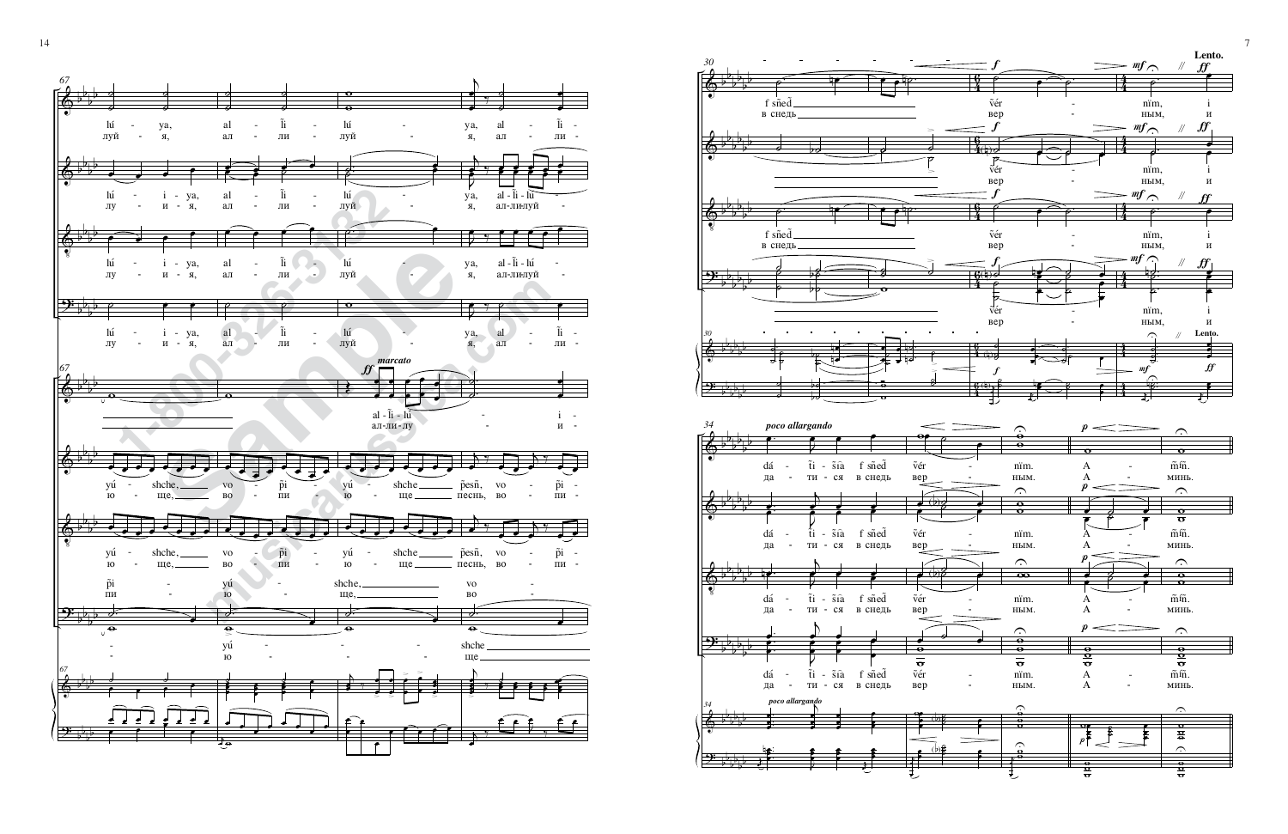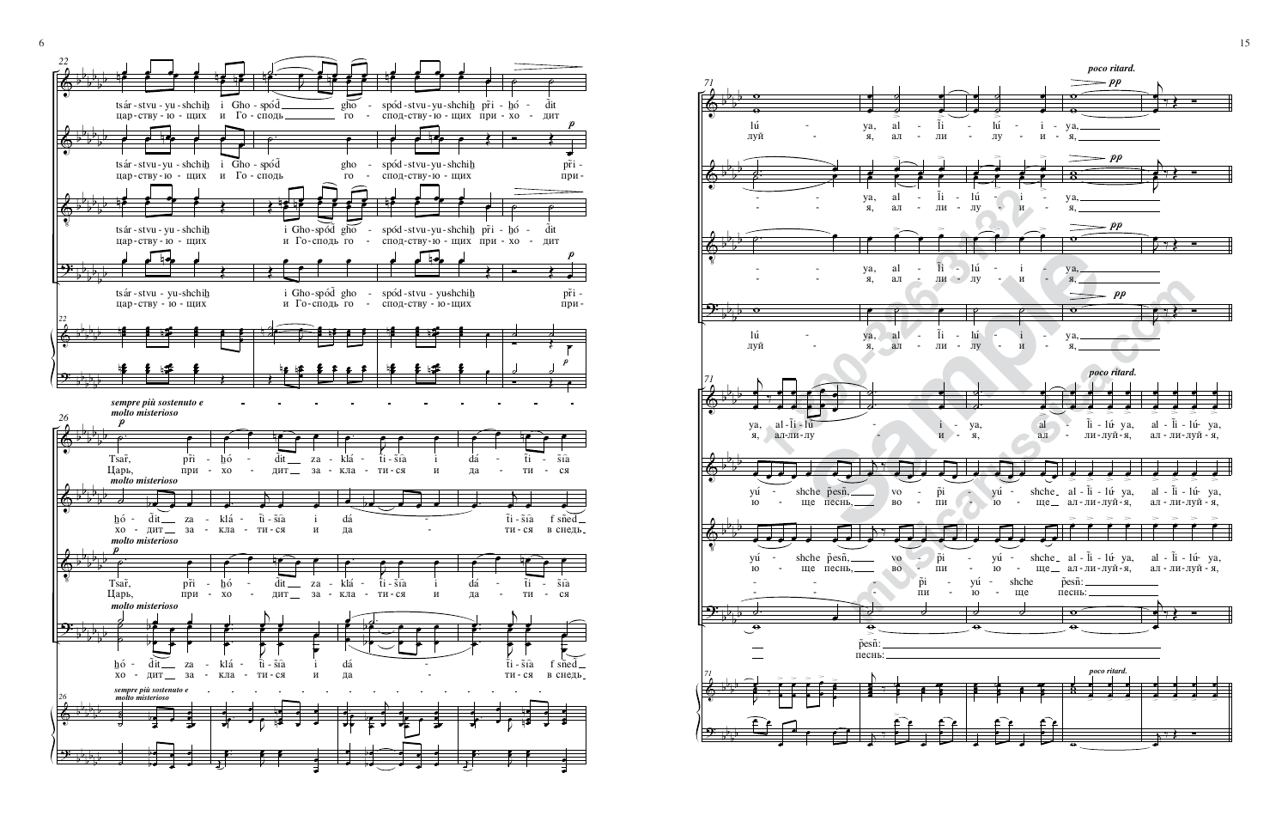